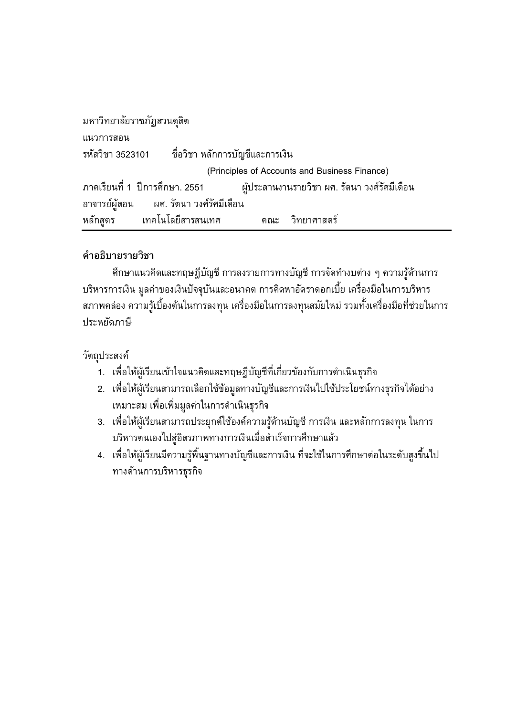```
มหาวิทยาลัยราชภัฏสวนดุสิต
แนวการสอน
                      ้ ชื่อวิชา หลักการบัญชีและการเงิน
รหัสวิชา 3523101
                               (Principles of Accounts and Business Finance)
ิภาคเรียนที่ 1  ปีการศึกษา. 2551
                                       ผู้ประสานงานรายวิชา ผศ. รัตนา วงศ์รัศมีเดือน
อาจารย์ผู้สอน
                 ผศ. รัตนา วงศ์รัศมีเดือน
หลักสูตร
              เทคโนโลยีสารสนเทศ
                                            ุคณะ วิทยาศาสตร์
```
# คำอธิบายรายวิชา

้ศึกษาแนวคิดและทฤษฎีบัญชี การลงรายการทางบัญชี การจัดทำงบต่าง ๆ ความรู้ด้านการ บริหารการเงิน มูลค่าของเงินปัจจุบันและอนาคต การคิดหาอัตราดอกเบี้ย เครื่องมือในการบริหาร ิสภาพคล่อง ความรู้เบื้องต้นในการลงทุน เครื่องมือในการลงทุนสมัยใหม่ รวมทั้งเครื่องมือที่ช่วยในการ ประหยัดภาษี

วัตถุประสงค์

- 1. เพื่อให้ผู้เรียนเข้าใจแนวคิดและทฤษฎีบัญชีที่เกี่ยวข้องกับการดำเนินธุรกิจ
- ่ 2. เพื่อให้ผู้เรียนสามารถเลือกใช้ข้อมูลทางบัญชีและการเงินไปใช้ประโยชน์ทางธุรกิจได้อย่าง ้ เหมาะสม เพื่อเพิ่มมูลค่าในการดำเนินธุรกิจ
- 3. เพื่อให้ผู้เรียนสามารถประยุกต์ใช้องค์ความรู้ด้านบัญชี การเงิน และหลักการลงทุน ในการ บริหารตนเองไปสู่อิสรภาพทางการเงินเมื่อสำเร็จการศึกษาแล้ว
- ่ 4. เพื่อให้ผู้เรียนมีความรู้พื้นฐานทางบัญชีและการเงิน ที่จะใช้ในการศึกษาต่อในระดับสูงขึ้นไป ทางด้านการบริหารฐรกิจ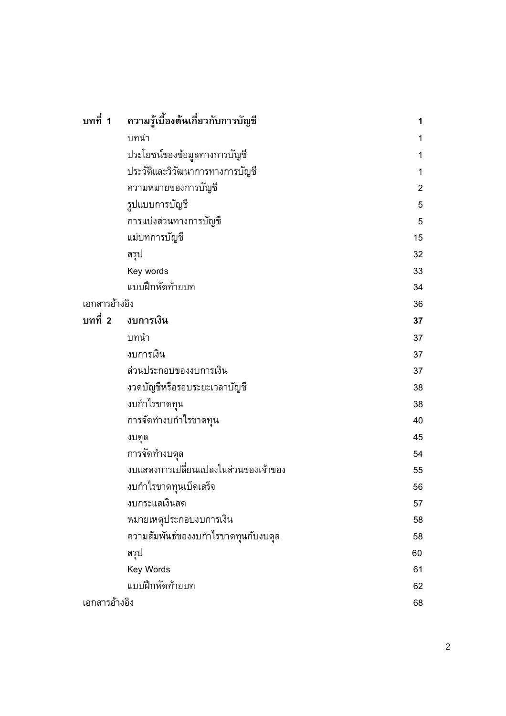| บทที่ 1       | ความรู้เบื้องต้นเกี่ยวกับการบัญชี    | 1              |
|---------------|--------------------------------------|----------------|
|               | บทนำ                                 | 1              |
|               | ประโยชน์ของข้อมูลทางการบัญชี         | 1              |
|               | ประวัติและวิวัฒนาการทางการบัญชี      | 1              |
|               | ความหมายของการบัญชี                  | $\overline{2}$ |
|               | รูปแบบการบัญชี                       | 5              |
|               | การแบ่งส่วนทางการบัญชี               | 5              |
|               | แม่บทการบัญชี                        | 15             |
|               | สรูป                                 | 32             |
|               | Key words                            | 33             |
|               | แบบฝึกหัดท้ายบท                      | 34             |
| เอกสารอ้างอิง |                                      | 36             |
| บทที่ 2       | งบการเงิน                            | 37             |
|               | บทนำ                                 | 37             |
|               | งบการเงิน                            | 37             |
|               | ส่วนประกอบของงบการเงิน               | 37             |
|               | งวดบัญชีหรือรอบระยะเวลาบัญชี         | 38             |
|               | งบกำไรขาดทุน                         | 38             |
|               | การจัดทำงบกำไรขาดทุน                 | 40             |
|               | งบดูล                                | 45             |
|               | การจัดทำงบดุล                        | 54             |
|               | งบแสดงการเปลี่ยนแปลงในส่วนของเจ้าของ | 55             |
|               | งบกำไรขาดทุนเบ็ดเสร็จ                | 56             |
|               | งบกระแสเงินสด                        | 57             |
|               | หมายเหตุประกอบงบการเงิน              | 58             |
|               | ความสัมพันธ์ของงบกำไรขาดทุนกับงบดุล  | 58             |
|               | สรุป                                 | 60             |
|               | Key Words                            | 61             |
|               | แบบฝึกหัดท้ายบท                      | 62             |
| เอกสารอ้างอิง |                                      | 68             |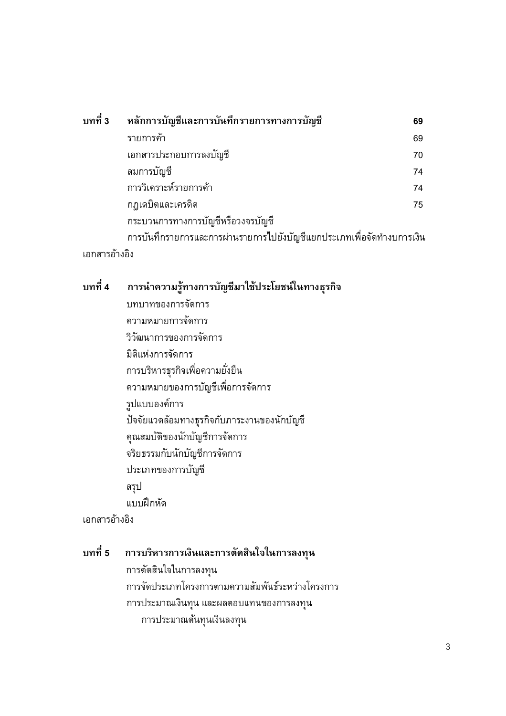|               | ิบทที่ 3 หลักการบัญชีและการบันทึกรายการทางการบัญชี                    | 69 |  |
|---------------|-----------------------------------------------------------------------|----|--|
|               | รายการค้า                                                             | 69 |  |
|               | เอกสารประกอบการลงบัญชี                                                | 70 |  |
|               | สมการบัญชี                                                            | 74 |  |
|               | การวิเคราะห์รายการค้า                                                 | 74 |  |
|               | กฎเดบิตและเครดิต                                                      | 75 |  |
|               | กระบวนการทางการบัญชีหรือวงจรบัญชี                                     |    |  |
|               | การบันทึกรายการและการผ่านรายการไปยังบัญชีแยกประเภทเพื่อจัดทำงบการเงิน |    |  |
| เอกสารอ้างอิง |                                                                       |    |  |

#### บทที่ 4 การนำความรู้ทางการบัญชีมาใช้ประโยชน์ในทางธุรกิจ

บทบาทของการจัดการ ความหมายการจัดการ วิวัฒนาการของการจัดการ มิติแห่งการจัดการ การบริหารธุรกิจเพื่อความยั่งยืน ความหมายของการบัญชีเพื่อการจัดการ รูปแบบองค์การ ปัจจัยแวดล้อมทางธุรกิจกับภาระงานของนักบัญชี คุณสมบัติของนักบัญชีการจัดการ จริยธรรมกับนักบัญชีการจัดการ ประเภทของการบัญชี สรุป แบบฝึกหัด

เอกสารอ้างอิง

#### บทที่ 5 การบริหารการเงินและการตัดสินใจในการลงทุน

การตัดสินใจในการลงทุน การจัดประเภทโครงการตามความสัมพันธ์ระหว่างโครงการ การประมาณเงินทุน และผลตอบแทนของการลงทุน การประมาณต้นทุนเงินลงทุน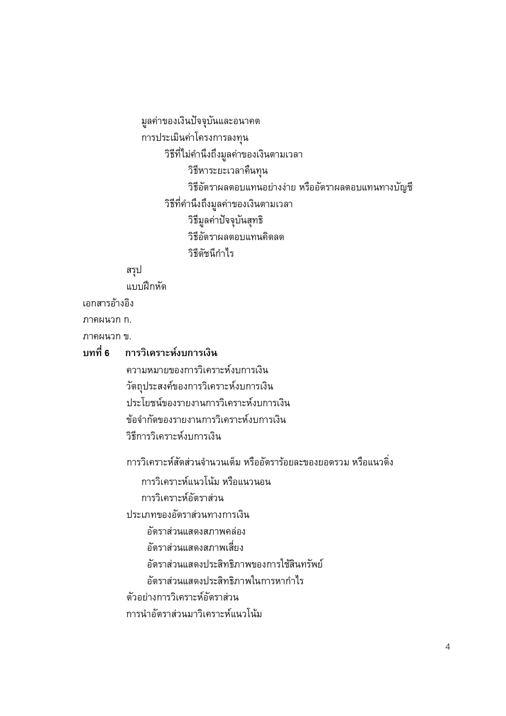มูลค่าของเงินปัจจุบันและอนาคต การประเมินค่าโครงการลงทุน วิธีที่ไม่คำนึงถึงมูลค่าของเงินตามเวลา วิธีหาระยะเวลาคืนทุน วิธีอัตราผลตอบแทนอย่างง่าย หรืออัตราผลตอบแทนทางบัญชี วิธีที่คำนึงถึงมูลค่าของเงินตามเวลา วิธีมูลค่าปัจจุบันสุทธิ วิธีอัตราผลตอบแทนคิดลด วิธีดัชนีกำไร

สรูป

แบบฝึกหัด

เอกสารอ้างอิง

ภาคผนวก ก.

ภาคผนวก ข.

# ็บทที่ 6 การวิเคราะห์งบการเงิน

ความหมายของการวิเคราะห์งบการเงิน วัตถุประสงค์ของการวิเคราะห์งบการเงิน ประโยชน์ของรายงานการวิเคราะห์งบการเงิน ข้อจำกัดของรายงานการวิเคราะห์งบการเงิน วิธีการวิเคราะห์งบการเงิน

้การวิเคราะห์สัดส่วนจำนวนเต็ม หรืออัตราร้อยละของยอดรวม หรือแนวดิ่ง

การวิเคราะห์แนวโน้ม หรือแนวนอน

การวิเคราะห์อัตราส่วน

ประเภทของอัตราส่วนทางการเงิน

อัตราส่วนแสดงสภาพคล่อง

อัตราส่วนแสดงสภาพเสี่ยง

อัตราส่วนแสดงประสิทธิภาพของการใช้สินทรัพย์

อัตราส่วนแสดงประสิทธิภาพในการหากำไร

ตัวอย่างการวิเคราะห์อัตราส่วน

การนำกัตราส่วนมาวิเคราะห์แนวโน้ม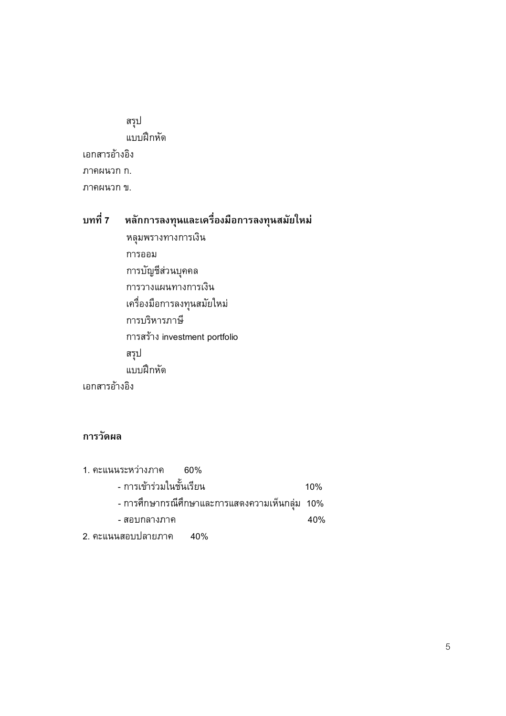สรุป แบบฝึกหัด เอกสารอ้างอิง ภาคผนวก ก. ภาคผนวก ข.

### บทที่ 7 หลักการลงทุนและเครื่องมือการลงทุนสมัยใหม่

หลุมพรางทางการเงิน การออม การบัญชีส่วนบุคคล การวางแผนทางการเงิน เครื่องมือการลงทุนสมัยใหม่ การบริหารภาษี การสร้าง investment portfolio สรูป แบบฝึกหัด เอกสารอ้างอิง

## การวัดผล

| 1. คะแนนระหว่างภาค 60%                          |     |
|-------------------------------------------------|-----|
| - การเข้าร่วมในชั้นเรียน                        | 10% |
| - การศึกษากรณีศึกษาและการแสดงความเห็นกลุ่ม  10% |     |
| - สอบกลางภาค                                    | 40% |
| 2. คะแนนสอบปลายภาค 40%                          |     |